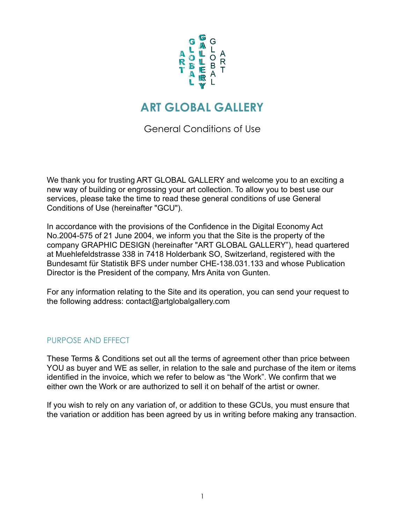

# **ART GLOBAL GALLERY**

General Conditions of Use

We thank you for trusting ART GLOBAL GALLERY and welcome you to an exciting a new way of building or engrossing your art collection. To allow you to best use our services, please take the time to read these general conditions of use General Conditions of Use (hereinafter "GCU").

In accordance with the provisions of the Confidence in the Digital Economy Act No.2004-575 of 21 June 2004, we inform you that the Site is the property of the company GRAPHIC DESIGN (hereinafter "ART GLOBAL GALLERY"), head quartered at Muehlefeldstrasse 338 in 7418 Holderbank SO, Switzerland, registered with the Bundesamt für Statistik BFS under number CHE-138.031.133 and whose Publication Director is the President of the company, Mrs Anita von Gunten.

For any information relating to the Site and its operation, you can send your request to the following address: contact@artglobalgallery.com

## PURPOSE AND EFFECT

These Terms & Conditions set out all the terms of agreement other than price between YOU as buyer and WE as seller, in relation to the sale and purchase of the item or items identified in the invoice, which we refer to below as "the Work". We confirm that we either own the Work or are authorized to sell it on behalf of the artist or owner.

If you wish to rely on any variation of, or addition to these GCUs, you must ensure that the variation or addition has been agreed by us in writing before making any transaction.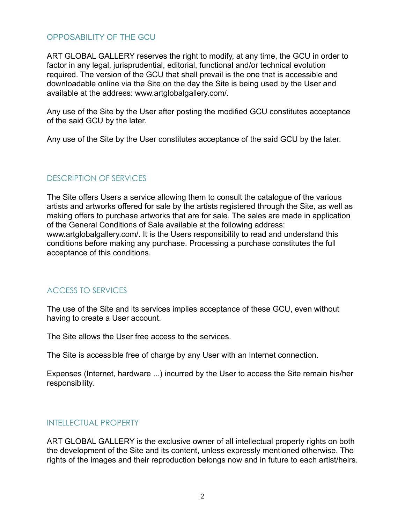#### OPPOSABILITY OF THE GCU

ART GLOBAL GALLERY reserves the right to modify, at any time, the GCU in order to factor in any legal, jurisprudential, editorial, functional and/or technical evolution required. The version of the GCU that shall prevail is the one that is accessible and downloadable online via the Site on the day the Site is being used by the User and available at the address: www.artglobalgallery.com/.

Any use of the Site by the User after posting the modified GCU constitutes acceptance of the said GCU by the later.

Any use of the Site by the User constitutes acceptance of the said GCU by the later.

## DESCRIPTION OF SERVICES

The Site offers Users a service allowing them to consult the catalogue of the various artists and artworks offered for sale by the artists registered through the Site, as well as making offers to purchase artworks that are for sale. The sales are made in application of the General Conditions of Sale available at the following address: www.artglobalgallery.com/. It is the Users responsibility to read and understand this conditions before making any purchase. Processing a purchase constitutes the full acceptance of this conditions.

## ACCESS TO SERVICES

The use of the Site and its services implies acceptance of these GCU, even without having to create a User account.

The Site allows the User free access to the services.

The Site is accessible free of charge by any User with an Internet connection.

Expenses (Internet, hardware ...) incurred by the User to access the Site remain his/her responsibility.

## INTELLECTUAL PROPERTY

ART GLOBAL GALLERY is the exclusive owner of all intellectual property rights on both the development of the Site and its content, unless expressly mentioned otherwise. The rights of the images and their reproduction belongs now and in future to each artist/heirs.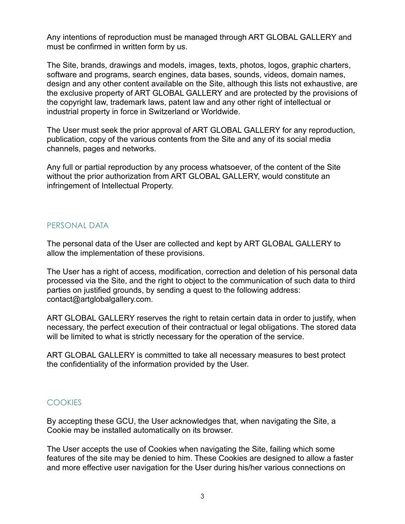Any intentions of reproduction must be managed through ART GLOBAL GALLERY and must be confirmed in written form by us.

The Site, brands, drawings and models, images, texts, photos, logos, graphic charters, software and programs, search engines, data bases, sounds, videos, domain names, design and any other content available on the Site, although this lists not exhaustive, are the exclusive property of ART GLOBAL GALLERY and are protected by the provisions of the copyright law, trademark laws, patent law and any other right of intellectual or industrial property in force in Switzerland or Worldwide.

The User must seek the prior approval of ART GLOBAL GALLERY for any reproduction, publication, copy of the various contents from the Site and any of its social media channels, pages and networks.

Any full or partial reproduction by any process whatsoever, of the content of the Site without the prior authorization from ART GLOBAL GALLERY, would constitute an infringement of Intellectual Property.

## PERSONAL DATA

The personal data of the User are collected and kept by ART GLOBAL GALLERY to allow the implementation of these provisions.

The User has a right of access, modification, correction and deletion of his personal data processed via the Site, and the right to object to the communication of such data to third parties on justified grounds, by sending a quest to the following address: contact@artglobalgallery.com.

ART GLOBAL GALLERY reserves the right to retain certain data in order to justify, when necessary, the perfect execution of their contractual or legal obligations. The stored data will be limited to what is strictly necessary for the operation of the service.

ART GLOBAL GALLERY is committed to take all necessary measures to best protect the confidentiality of the information provided by the User.

## **COOKIES**

By accepting these GCU, the User acknowledges that, when navigating the Site, a Cookie may be installed automatically on its browser.

The User accepts the use of Cookies when navigating the Site, failing which some features of the site may be denied to him. These Cookies are designed to allow a faster and more effective user navigation for the User during his/her various connections on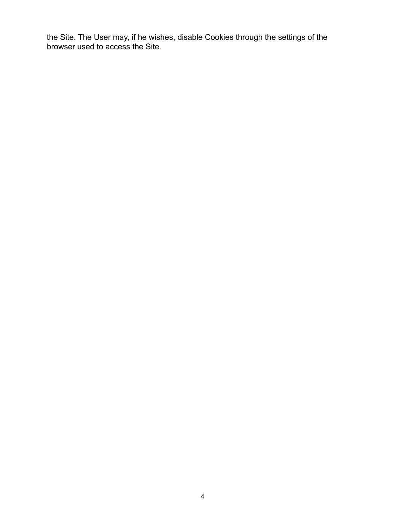the Site. The User may, if he wishes, disable Cookies through the settings of the browser used to access the Site.